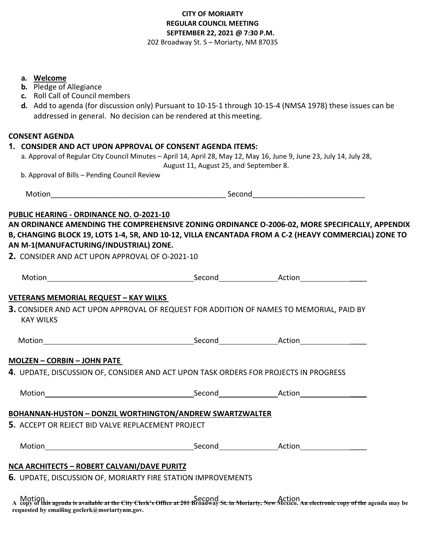# **CITY OF MORIARTY REGULAR COUNCIL MEETING SEPTEMBER 22, 2021 @ 7:30 P.M.**  202 Broadway St. S – Moriarty, NM 87035

- **b.** Pledge of Allegiance
- **c.** Roll Call of Council members
- **d.** Add to agenda (for discussion only) Pursuant to 10-15-1 through 10-15-4 (NMSA 1978) these issues can be addressed in general. No decision can be rendered at thismeeting.

## **CONSENT AGENDA**

## **1. CONSIDER AND ACT UPON APPROVAL OF CONSENT AGENDA ITEMS:**

- a. Approval of Regular City Council Minutes April 14, April 28, May 12, May 16, June 9, June 23, July 14, July 28, August 11, August 25, and September 8.
- b. Approval of Bills Pending Council Review

| -----<br><b>IVIOTION</b> | Second |  |
|--------------------------|--------|--|
|                          |        |  |

## **PUBLIC HEARING - ORDINANCE NO. O-2021-10**

**AN ORDINANCE AMENDING THE COMPREHENSIVE ZONING ORDINANCE O-2006-02, MORE SPECIFICALLY, APPENDIX B, CHANGING BLOCK 19, LOTS 1-4, 5R, AND 10-12, VILLA ENCANTADA FROM A C-2 (HEAVY COMMERCIAL) ZONE TO AN M-1(MANUFACTURING/INDUSTRIAL) ZONE.** 

**2.** CONSIDER AND ACT UPON APPROVAL OF O-2021-10

| <b>VETERANS MEMORIAL REQUEST - KAY WILKS</b>       |                                                                                                                                                              |  |
|----------------------------------------------------|--------------------------------------------------------------------------------------------------------------------------------------------------------------|--|
|                                                    | 3. CONSIDER AND ACT UPON APPROVAL OF REQUEST FOR ADDITION OF NAMES TO MEMORIAL, PAID BY                                                                      |  |
| <b>KAY WILKS</b>                                   |                                                                                                                                                              |  |
|                                                    |                                                                                                                                                              |  |
| <b>MOLZEN - CORBIN - JOHN PATE</b>                 |                                                                                                                                                              |  |
|                                                    | 4. UPDATE, DISCUSSION OF, CONSIDER AND ACT UPON TASK ORDERS FOR PROJECTS IN PROGRESS                                                                         |  |
|                                                    |                                                                                                                                                              |  |
|                                                    |                                                                                                                                                              |  |
|                                                    | BOHANNAN-HUSTON - DONZIL WORTHINGTON/ANDREW SWARTZWALTER                                                                                                     |  |
| 5. ACCEPT OR REJECT BID VALVE REPLACEMENT PROJECT  |                                                                                                                                                              |  |
|                                                    |                                                                                                                                                              |  |
| <b>NCA ARCHITECTS - ROBERT CALVANI/DAVE PURITZ</b> |                                                                                                                                                              |  |
|                                                    | 6. UPDATE, DISCUSSION OF, MORIARTY FIRE STATION IMPROVEMENTS                                                                                                 |  |
|                                                    | Motion<br>A copy of this agenda is available at the City Clerk's Office at 201 Broadway St. in Moriarty, New Mexico. An electronic copy of the agenda may be |  |
|                                                    |                                                                                                                                                              |  |

**requested by emailing goclerk@moriartynm.gov.**